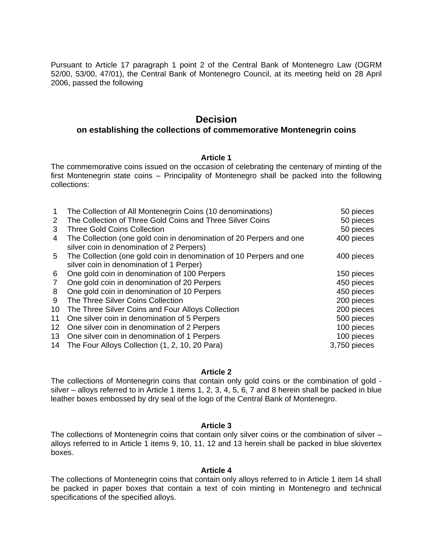Pursuant to Article 17 paragraph 1 point 2 of the Central Bank of Montenegro Law (OGRM 52/00, 53/00, 47/01), the Central Bank of Montenegro Council, at its meeting held on 28 April 2006, passed the following

# **Decision**

## **on establishing the collections of commemorative Montenegrin coins**

#### **Article 1**

The commemorative coins issued on the occasion of celebrating the centenary of minting of the first Montenegrin state coins – Principality of Montenegro shall be packed into the following collections:

| 2<br>3 | The Collection of All Montenegrin Coins (10 denominations)<br>The Collection of Three Gold Coins and Three Silver Coins<br><b>Three Gold Coins Collection</b> | 50 pieces<br>50 pieces<br>50 pieces |
|--------|---------------------------------------------------------------------------------------------------------------------------------------------------------------|-------------------------------------|
| 4      | The Collection (one gold coin in denomination of 20 Perpers and one<br>silver coin in denomination of 2 Perpers)                                              | 400 pieces                          |
| 5.     | The Collection (one gold coin in denomination of 10 Perpers and one<br>silver coin in denomination of 1 Perper)                                               | 400 pieces                          |
| 6      | One gold coin in denomination of 100 Perpers                                                                                                                  | 150 pieces                          |
| 7      | One gold coin in denomination of 20 Perpers                                                                                                                   | 450 pieces                          |
| 8      | One gold coin in denomination of 10 Perpers                                                                                                                   | 450 pieces                          |
| 9      | The Three Silver Coins Collection                                                                                                                             | 200 pieces                          |
| 10     | The Three Silver Coins and Four Alloys Collection                                                                                                             | 200 pieces                          |
| 11     | One silver coin in denomination of 5 Perpers                                                                                                                  | 500 pieces                          |
| 12     | One silver coin in denomination of 2 Perpers                                                                                                                  | 100 pieces                          |
| 13     | One silver coin in denomination of 1 Perpers                                                                                                                  | 100 pieces                          |
|        | 14 The Four Alloys Collection (1, 2, 10, 20 Para)                                                                                                             | 3,750 pieces                        |

#### **Article 2**

The collections of Montenegrin coins that contain only gold coins or the combination of gold silver – alloys referred to in Article 1 items 1, 2, 3, 4, 5, 6, 7 and 8 herein shall be packed in blue leather boxes embossed by dry seal of the logo of the Central Bank of Montenegro.

### **Article 3**

The collections of Montenegrin coins that contain only silver coins or the combination of silver – alloys referred to in Article 1 items 9, 10, 11, 12 and 13 herein shall be packed in blue skivertex boxes.

#### **Article 4**

The collections of Montenegrin coins that contain only alloys referred to in Article 1 item 14 shall be packed in paper boxes that contain a text of coin minting in Montenegro and technical specifications of the specified alloys.